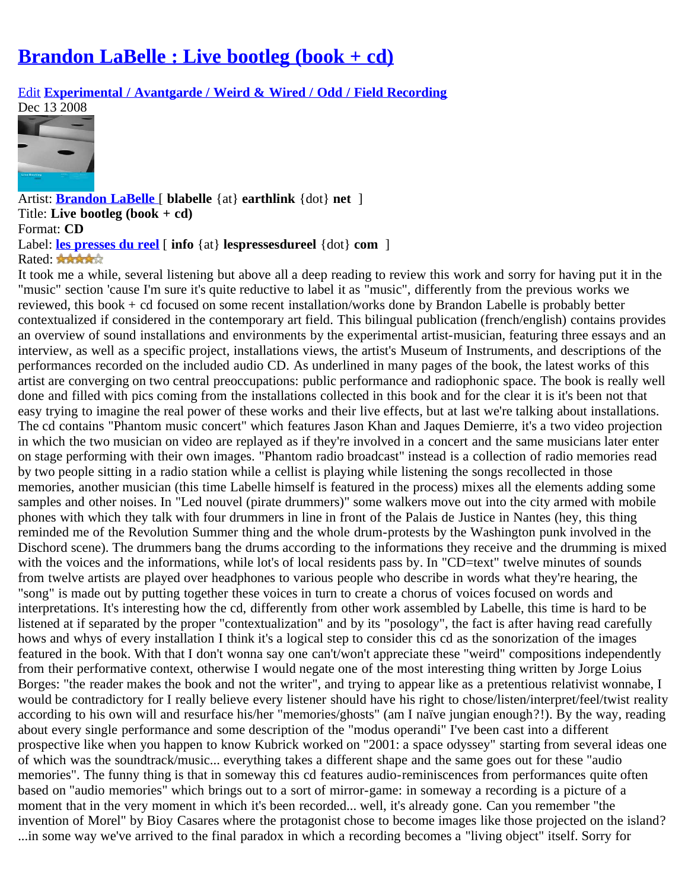## **[Brandon LaBelle : Live bootleg \(book + cd\)](http://www.chaindlk.com/reviews/?id=4812)**

[Edit](http://www.chaindlk.com/reviews/admin/edit.php?id=4812&type=music) **[Experimental / Avantgarde / Weird & Wired / Odd / Field Recording](http://www.chaindlk.com/reviews/?type=music&category=7)**

Dec 13 2008



Artist: **[Brandon LaBelle](http://www.errantbodies.org/labelle.html)** [ **blabelle** {at} **earthlink** {dot} **net** ] Title: **Live bootleg (book + cd)** Format: **CD** Label: **[les presses du reel](http://www.lespressesdureel.com/)** [ **info** {at} **lespressesdureel** {dot} **com** ] Rated: \*\*\*\*\*

It took me a while, several listening but above all a deep reading to review this work and sorry for having put it in the "music" section 'cause I'm sure it's quite reductive to label it as "music", differently from the previous works we reviewed, this book + cd focused on some recent installation/works done by Brandon Labelle is probably better contextualized if considered in the contemporary art field. This bilingual publication (french/english) contains provides an overview of sound installations and environments by the experimental artist-musician, featuring three essays and an interview, as well as a specific project, installations views, the artist's Museum of Instruments, and descriptions of the performances recorded on the included audio CD. As underlined in many pages of the book, the latest works of this artist are converging on two central preoccupations: public performance and radiophonic space. The book is really well done and filled with pics coming from the installations collected in this book and for the clear it is it's been not that easy trying to imagine the real power of these works and their live effects, but at last we're talking about installations. The cd contains "Phantom music concert" which features Jason Khan and Jaques Demierre, it's a two video projection in which the two musician on video are replayed as if they're involved in a concert and the same musicians later enter on stage performing with their own images. "Phantom radio broadcast" instead is a collection of radio memories read by two people sitting in a radio station while a cellist is playing while listening the songs recollected in those memories, another musician (this time Labelle himself is featured in the process) mixes all the elements adding some samples and other noises. In "Led nouvel (pirate drummers)" some walkers move out into the city armed with mobile phones with which they talk with four drummers in line in front of the Palais de Justice in Nantes (hey, this thing reminded me of the Revolution Summer thing and the whole drum-protests by the Washington punk involved in the Dischord scene). The drummers bang the drums according to the informations they receive and the drumming is mixed with the voices and the informations, while lot's of local residents pass by. In "CD=text" twelve minutes of sounds from twelve artists are played over headphones to various people who describe in words what they're hearing, the "song" is made out by putting together these voices in turn to create a chorus of voices focused on words and interpretations. It's interesting how the cd, differently from other work assembled by Labelle, this time is hard to be listened at if separated by the proper "contextualization" and by its "posology", the fact is after having read carefully hows and whys of every installation I think it's a logical step to consider this cd as the sonorization of the images featured in the book. With that I don't wonna say one can't/won't appreciate these "weird" compositions independently from their performative context, otherwise I would negate one of the most interesting thing written by Jorge Loius Borges: "the reader makes the book and not the writer", and trying to appear like as a pretentious relativist wonnabe, I would be contradictory for I really believe every listener should have his right to chose/listen/interpret/feel/twist reality according to his own will and resurface his/her "memories/ghosts" (am I naïve jungian enough?!). By the way, reading about every single performance and some description of the "modus operandi" I've been cast into a different prospective like when you happen to know Kubrick worked on "2001: a space odyssey" starting from several ideas one of which was the soundtrack/music... everything takes a different shape and the same goes out for these "audio memories". The funny thing is that in someway this cd features audio-reminiscences from performances quite often based on "audio memories" which brings out to a sort of mirror-game: in someway a recording is a picture of a moment that in the very moment in which it's been recorded... well, it's already gone. Can you remember "the invention of Morel" by Bioy Casares where the protagonist chose to become images like those projected on the island? ...in some way we've arrived to the final paradox in which a recording becomes a "living object" itself. Sorry for